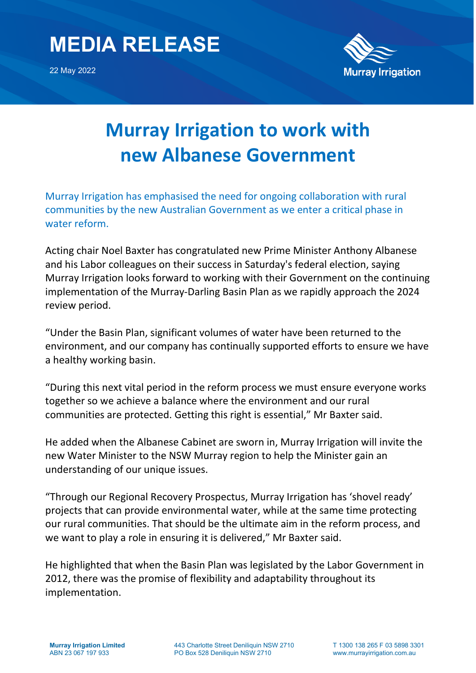## **MEDIA RELEASE**

22 May 2022



## **Murray Irrigation to work with new Albanese Government**

Murray Irrigation has emphasised the need for ongoing collaboration with rural communities by the new Australian Government as we enter a critical phase in water reform.

Acting chair Noel Baxter has congratulated new Prime Minister Anthony Albanese and his Labor colleagues on their success in Saturday's federal election, saying Murray Irrigation looks forward to working with their Government on the continuing implementation of the Murray-Darling Basin Plan as we rapidly approach the 2024 review period.

"Under the Basin Plan, significant volumes of water have been returned to the environment, and our company has continually supported efforts to ensure we have a healthy working basin.

"During this next vital period in the reform process we must ensure everyone works together so we achieve a balance where the environment and our rural communities are protected. Getting this right is essential," Mr Baxter said.

He added when the Albanese Cabinet are sworn in, Murray Irrigation will invite the new Water Minister to the NSW Murray region to help the Minister gain an understanding of our unique issues.

"Through our Regional Recovery Prospectus, Murray Irrigation has 'shovel ready' projects that can provide environmental water, while at the same time protecting our rural communities. That should be the ultimate aim in the reform process, and we want to play a role in ensuring it is delivered," Mr Baxter said.

He highlighted that when the Basin Plan was legislated by the Labor Government in 2012, there was the promise of flexibility and adaptability throughout its implementation.